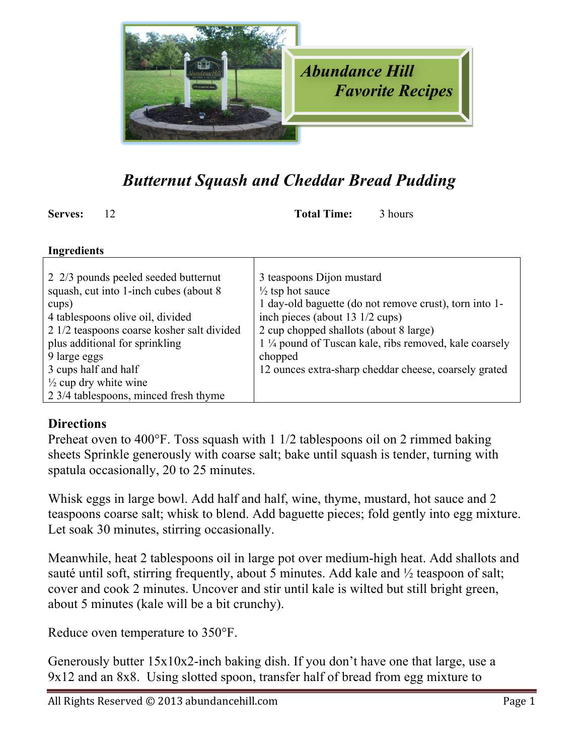

## *Butternut Squash and Cheddar Bread Pudding*

**Serves:** 12 **Total Time:** 3 hours

## **Ingredients**

| 2 2/3 pounds peeled seeded butternut<br>squash, cut into 1-inch cubes (about 8)<br>cups)<br>4 tablespoons olive oil, divided<br>2 1/2 teaspoons coarse kosher salt divided<br>plus additional for sprinkling<br>9 large eggs<br>3 cups half and half<br>$\frac{1}{2}$ cup dry white wine<br>2 3/4 tablespoons, minced fresh thyme | 3 teaspoons Dijon mustard<br>$\frac{1}{2}$ tsp hot sauce<br>1 day-old baguette (do not remove crust), torn into 1-<br>inch pieces (about $13 \frac{1}{2}$ cups)<br>2 cup chopped shallots (about 8 large)<br>1 1/4 pound of Tuscan kale, ribs removed, kale coarsely<br>chopped<br>12 ounces extra-sharp cheddar cheese, coarsely grated |
|-----------------------------------------------------------------------------------------------------------------------------------------------------------------------------------------------------------------------------------------------------------------------------------------------------------------------------------|------------------------------------------------------------------------------------------------------------------------------------------------------------------------------------------------------------------------------------------------------------------------------------------------------------------------------------------|
|-----------------------------------------------------------------------------------------------------------------------------------------------------------------------------------------------------------------------------------------------------------------------------------------------------------------------------------|------------------------------------------------------------------------------------------------------------------------------------------------------------------------------------------------------------------------------------------------------------------------------------------------------------------------------------------|

## **Directions**

Preheat oven to 400°F. Toss squash with 1 1/2 tablespoons oil on 2 rimmed baking sheets Sprinkle generously with coarse salt; bake until squash is tender, turning with spatula occasionally, 20 to 25 minutes.

Whisk eggs in large bowl. Add half and half, wine, thyme, mustard, hot sauce and 2 teaspoons coarse salt; whisk to blend. Add baguette pieces; fold gently into egg mixture. Let soak 30 minutes, stirring occasionally.

Meanwhile, heat 2 tablespoons oil in large pot over medium-high heat. Add shallots and sauté until soft, stirring frequently, about 5 minutes. Add kale and  $\frac{1}{2}$  teaspoon of salt; cover and cook 2 minutes. Uncover and stir until kale is wilted but still bright green, about 5 minutes (kale will be a bit crunchy).

Reduce oven temperature to 350°F.

Generously butter 15x10x2-inch baking dish. If you don't have one that large, use a 9x12 and an 8x8. Using slotted spoon, transfer half of bread from egg mixture to